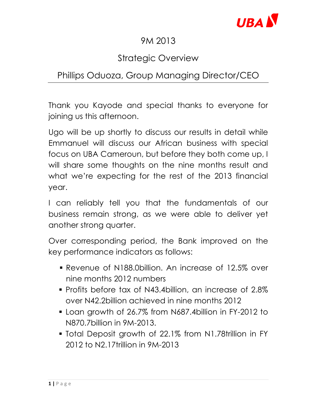

## 9M 2013

# Strategic Overview

# Phillips Oduoza, Group Managing Director/CEO

Thank you Kayode and special thanks to everyone for joining us this afternoon.

Ugo will be up shortly to discuss our results in detail while Emmanuel will discuss our African business with special focus on UBA Cameroun, but before they both come up, I will share some thoughts on the nine months result and what we're expecting for the rest of the 2013 financial year.

I can reliably tell you that the fundamentals of our business remain strong, as we were able to deliver yet another strong quarter.

Over corresponding period, the Bank improved on the key performance indicators as follows:

- Revenue of N188.0billion. An increase of 12.5% over nine months 2012 numbers
- **Profits before tax of N43.4billion, an increase of 2.8%** over N42.2billion achieved in nine months 2012
- Loan growth of 26.7% from N687.4billion in FY-2012 to N870.7billion in 9M-2013.
- Total Deposit growth of 22.1% from N1.78trillion in FY 2012 to N2.17trillion in 9M-2013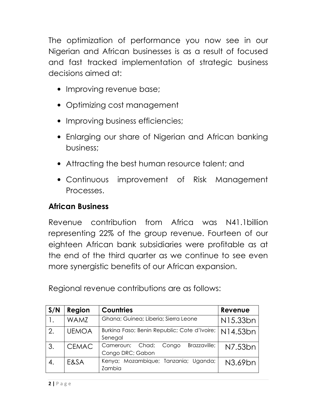The optimization of performance you now see in our Nigerian and African businesses is as a result of focused and fast tracked implementation of strategic business decisions aimed at:

- Improving revenue base;
- Optimizing cost management
- Improving business efficiencies;
- Enlarging our share of Nigerian and African banking business;
- Attracting the best human resource talent; and
- Continuous improvement of Risk Management Processes.

#### African Business

Revenue contribution from Africa was N41.1billion representing 22% of the group revenue. Fourteen of our eighteen African bank subsidiaries were profitable as at the end of the third quarter as we continue to see even more synergistic benefits of our African expansion.

Regional revenue contributions are as follows:

| S/N | Region       | <b>Countries</b>                                             | Revenue  |
|-----|--------------|--------------------------------------------------------------|----------|
|     | <b>WAMZ</b>  | Ghana; Guinea; Liberia; Sierra Leone                         | N15.33bn |
| 2.  | <b>UEMOA</b> | Burkina Faso; Benin Republic; Cote d'Ivoire;  <br>Senegal    | N14.53bn |
| 3.  | <b>CEMAC</b> | Brazzaville;<br>Cameroun; Chad;<br>Congo<br>Congo DRC; Gabon | N7.53bn  |
| 4.  | E&SA         | Kenya; Mozambique; Tanzania; Uganda;<br>Zambia               | N3.69bn  |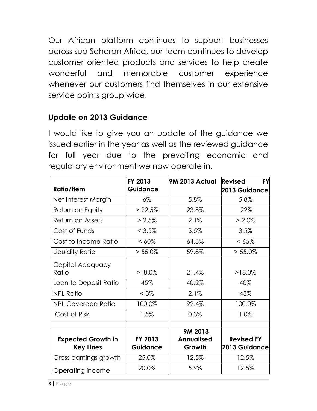Our African platform continues to support businesses across sub Saharan Africa, our team continues to develop customer oriented products and services to help create wonderful and memorable customer experience whenever our customers find themselves in our extensive service points group wide.

### Update on 2013 Guidance

I would like to give you an update of the guidance we issued earlier in the year as well as the reviewed guidance for full year due to the prevailing economic and regulatory environment we now operate in.

|                                               | FY 2013             | 9M 2013 Actual                         | <b>FY</b><br><b>Revised</b>        |
|-----------------------------------------------|---------------------|----------------------------------------|------------------------------------|
| <b>Ratio/Item</b>                             | <b>Guidance</b>     |                                        | 2013 Guidance                      |
| Net Interest Margin                           | $6\%$               | 5.8%                                   | 5.8%                               |
| Return on Equity                              | > 22.5%             | 23.8%                                  | 22%                                |
| Return on Assets                              | $> 2.5\%$           | 2.1%                                   | $> 2.0\%$                          |
| Cost of Funds                                 | $< 3.5\%$           | 3.5%                                   | 3.5%                               |
| Cost to Income Ratio                          | $<60\%$             | 64.3%                                  | $<65\%$                            |
| Liquidity Ratio                               | $> 55.0\%$          | 59.8%                                  | $> 55.0\%$                         |
| Capital Adequacy<br>Ratio                     | $>18.0\%$           | 21.4%                                  | $>18.0\%$                          |
| Loan to Deposit Ratio                         | 45%                 | 40.2%                                  | 40%                                |
| <b>NPL Ratio</b>                              | $< 3\%$             | 2.1%                                   | <3%                                |
| <b>NPL Coverage Ratio</b>                     | 100.0%              | 92.4%                                  | 100.0%                             |
| Cost of Risk                                  | 1.5%                | 0.3%                                   | 1.0%                               |
| <b>Expected Growth in</b><br><b>Key Lines</b> | FY 2013<br>Guidance | 9M 2013<br><b>Annualised</b><br>Growth | <b>Revised FY</b><br>2013 Guidance |
| Gross earnings growth                         | 25.0%               | 12.5%                                  | 12.5%                              |
| Operating income                              | 20.0%               | 5.9%                                   | 12.5%                              |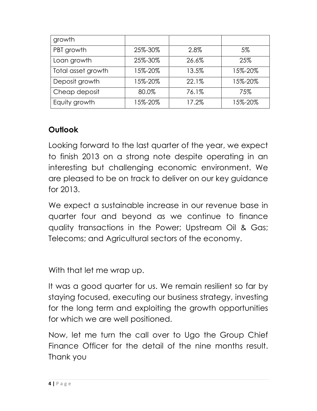| growth             |         |       |         |
|--------------------|---------|-------|---------|
| PBT growth         | 25%-30% | 2.8%  | 5%      |
| Loan growth        | 25%-30% | 26.6% | 25%     |
| Total asset growth | 15%-20% | 13.5% | 15%-20% |
| Deposit growth     | 15%-20% | 22.1% | 15%-20% |
| Cheap deposit      | 80.0%   | 76.1% | 75%     |
| Equity growth      | 15%-20% | 17.2% | 15%-20% |

### **Outlook**

Looking forward to the last quarter of the year, we expect to finish 2013 on a strong note despite operating in an interesting but challenging economic environment. We are pleased to be on track to deliver on our key guidance for 2013.

We expect a sustainable increase in our revenue base in quarter four and beyond as we continue to finance quality transactions in the Power; Upstream Oil & Gas; Telecoms; and Agricultural sectors of the economy.

With that let me wrap up.

It was a good quarter for us. We remain resilient so far by staying focused, executing our business strategy, investing for the long term and exploiting the growth opportunities for which we are well positioned.

Now, let me turn the call over to Ugo the Group Chief Finance Officer for the detail of the nine months result. Thank you